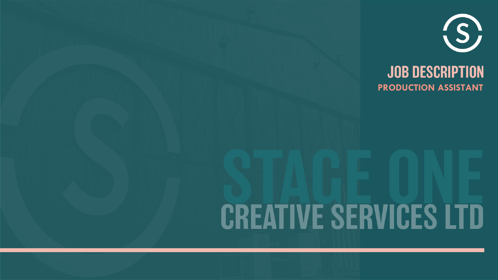

### **JOB DESCRIPTION PRODUCTION ASSISTANT**

# **CREATIVE SERVICES LTD**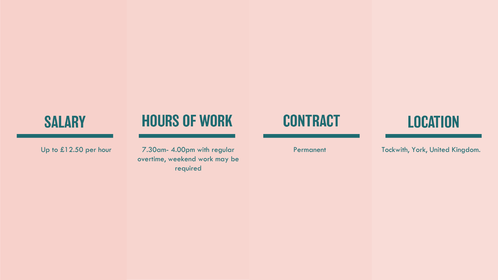## **SALARY**

## **HOURS OF WORK**

7.30am - 4.00pm with regular overtime, weekend work may be required

## **CONTRACT**

## **LOCATION**

Up to £12.50 per hour **Permanent** 7.30am- 4.00pm with regular **Permanent** Tockwith, York, United Kingdom.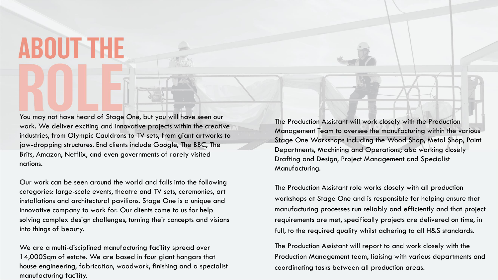# **ABOUT THE**

You may not have heard of Stage One, but you will have seen our work. We deliver exciting and innovative projects within the creative industries, from Olympic Cauldrons to TV sets, from giant artworks to jaw-dropping structures. End clients include Google, The BBC, The Brits, Amazon, Netflix, and even governments of rarely visited nations.

Our work can be seen around the world and falls into the following categories: large-scale events, theatre and TV sets, ceremonies, art installations and architectural pavilions. Stage One is a unique and innovative company to work for. Our clients come to us for help solving complex design challenges, turning their concepts and visions into things of beauty.

We are a multi-disciplined manufacturing facility spread over 14,000Sqm of estate. We are based in four giant hangars that house engineering, fabrication, woodwork, finishing and a specialist manufacturing facility.

The Production Assistant will work closely with the Production Management Team to oversee the manufacturing within the various Stage One Workshops including the Wood Shop, Metal Shop, Paint Departments, Machining and Operations; also working closely Drafting and Design, Project Management and Specialist Manufacturing.

The Production Assistant role works closely with all production workshops at Stage One and is responsible for helping ensure that manufacturing processes run reliably and efficiently and that project requirements are met, specifically projects are delivered on time, in full, to the required quality whilst adhering to all H&S standards.

The Production Assistant will report to and work closely with the Production Management team, liaising with various departments and coordinating tasks between all production areas.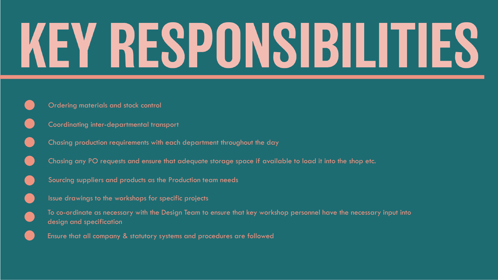# KEY RESPONSIBILITIES

- Ordering materials and stock control
- Coordinating inter-departmental transport
- Chasing production requirements with each department throughout the day
- Chasing any PO requests and ensure that adequate storage space if available to load it into the shop etc.
- Sourcing suppliers and products as the Production team needs
- Issue drawings to the workshops for specific projects
- To co-ordinate as necessary with the Design Team to ensure that key workshop personnel have the necessary input into design and specification
- Ensure that all company & statutory systems and procedures are followed

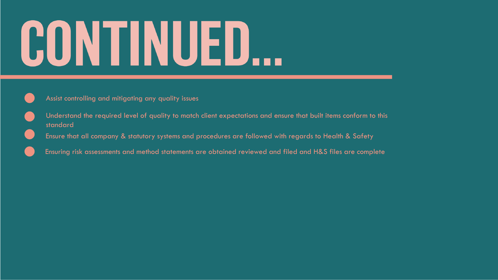# CONTINUED...



- Understand the required level of quality to match client expectations and ensure that built items conform to this standard
	- Ensure that all company & statutory systems and procedures are followed with regards to Health & Safety
	- Ensuring risk assessments and method statements are obtained reviewed and filed and H&S files are complete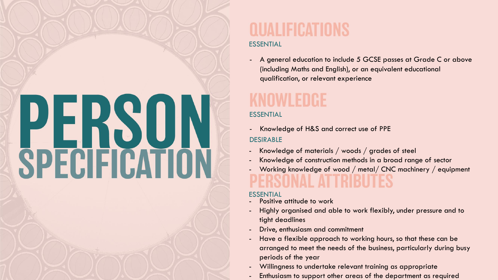# **PERSON**<br>SPECIFICATION

# AI IFICATIſ

### ESSENTIAL

### ESSENTIAL

### ESSENTIAL

(including Maths and English), or an equivalent educational qualification, or relevant experience

- Positive attitude to work
- tight deadlines
- Drive, enthusiasm and commitment
- periods of the year
- Willingness to undertake relevant training as appropriate
- 

- Highly organised and able to work flexibly, under pressure and to

A general education to include 5 GCSE passes at Grade C or above

Knowledge of construction methods in a broad range of sector - Working knowledge of wood / metal/ CNC machinery / equipment

- Have a flexible approach to working hours, so that these can be arranged to meet the needs of the business, particularly during busy

Enthusiasm to support other areas of the department as required

- Knowledge of H&S and correct use of PPE DESIRABLE
- Knowledge of materials / woods / grades of steel
- 
-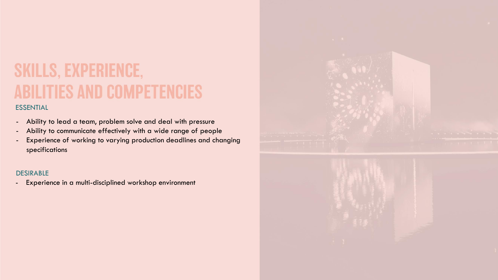# **SKILLS, EXPERIENCE, ABILITIES AND COMPETENCIES**

### ESSENTIAL

- Ability to lead a team, problem solve and deal with pressure
- Ability to communicate effectively with a wide range of people
- Experience of working to varying production deadlines and changing specifications

### DESIRABLE

- Experience in a multi-disciplined workshop environment